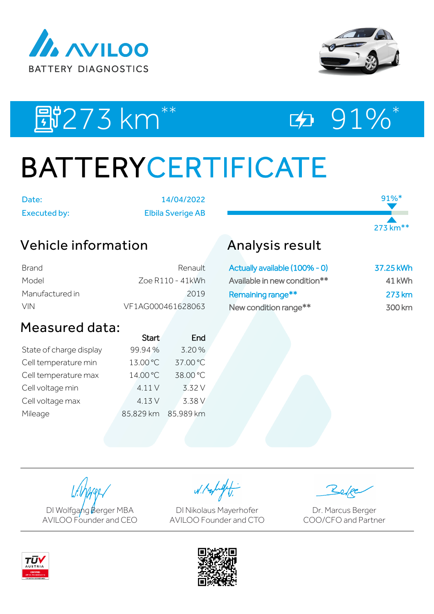



91%\*

273 km\*\*

# EN273 km<sup>\*\*</sup> ED 91%\*

# BATTERYCERTIFICATE

Date: 14/04/2022 Executed by: Elbila Sverige AB

## Vehicle information

| Brand           | Renault           |
|-----------------|-------------------|
| Model           | Zoe R110 - 41kWh  |
| Manufactured in | 2019              |
| VIN.            | VF1AG000461628063 |

### Measured data:

|                         | <b>Start</b> | End       |
|-------------------------|--------------|-----------|
| State of charge display | 99.94%       | 3.20%     |
| Cell temperature min    | 13.00 °C     | 37.00 °C  |
| Cell temperature max    | 14.00 °C     | 38.00 °C  |
| Cell voltage min        | 4.11V        | 3.32 V    |
| Cell voltage max        | 4.13 V       | 3.38 V    |
| Mileage                 | 85,829 km    | 85,989 km |
|                         |              |           |

## Analysis result

| Actually available (100% - 0) | 37.25 kWh |
|-------------------------------|-----------|
| Available in new condition**  | 41 kWh    |
| Remaining range**             | 273 km    |
| New condition range**         | 300 km    |

DI Wolfgang Berger MBA AVILOO Founder and CEO

W. Kolight

DI Nikolaus Mayerhofer AVILOO Founder and CTO

Dr. Marcus Berger COO/CFO and Partner